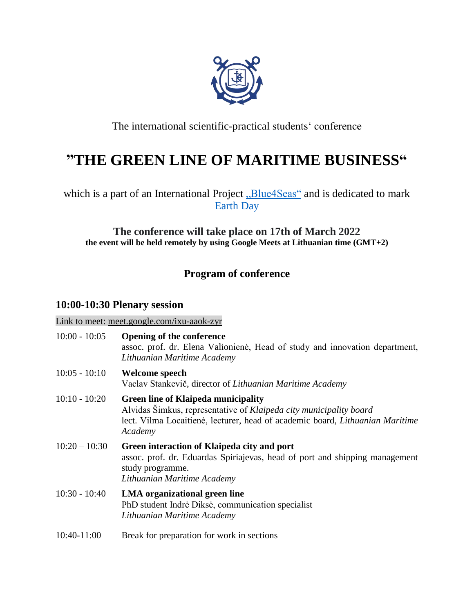

The international scientific-practical students' conference

# **"THE GREEN LINE OF MARITIME BUSINESS"**

which is a part of an International Project ["Blue4Seas"](https://www.anmb.ro/blue4seas/index.html) and is dedicated to mark [Earth Day](https://www.earthday.org/earth-day-2022/)

### **The conference will take place on 17th of March 2022 the event will be held remotely by using Google Meets at Lithuanian time (GMT+2)**

## **Program of conference**

## **10:00-10:30 Plenary session**

Link to meet: [meet.google.com/ixu-aaok-zyr](http://meet.google.com/ixu-aaok-zyr)

| $10:00 - 10:05$ | <b>Opening of the conference</b><br>assoc. prof. dr. Elena Valionienė, Head of study and innovation department,<br>Lithuanian Maritime Academy                                                               |
|-----------------|--------------------------------------------------------------------------------------------------------------------------------------------------------------------------------------------------------------|
| $10:05 - 10:10$ | <b>Welcome speech</b><br>Vaclav Stankevič, director of Lithuanian Maritime Academy                                                                                                                           |
| $10:10 - 10:20$ | <b>Green line of Klaipeda municipality</b><br>Alvidas Šimkus, representative of Klaipeda city municipality board<br>lect. Vilma Locaitienė, lecturer, head of academic board, Lithuanian Maritime<br>Academy |
| $10:20 - 10:30$ | Green interaction of Klaipeda city and port<br>assoc. prof. dr. Eduardas Spiriajevas, head of port and shipping management<br>study programme.<br>Lithuanian Maritime Academy                                |
| $10:30 - 10:40$ | <b>LMA</b> organizational green line<br>PhD student Indrė Diksė, communication specialist<br>Lithuanian Maritime Academy                                                                                     |
| 10:40-11:00     | Break for preparation for work in sections                                                                                                                                                                   |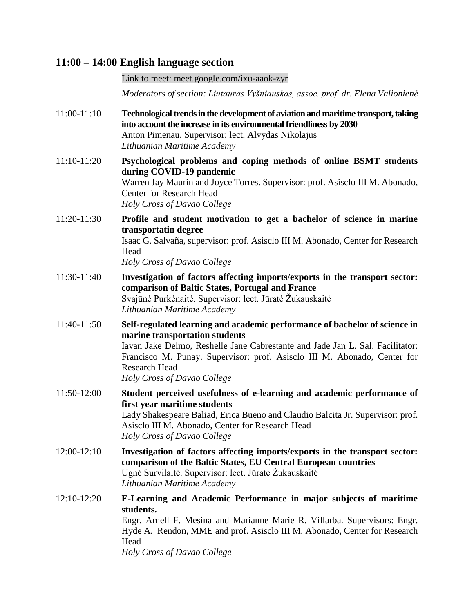### **11:00 – 14:00 English language section**

Link to meet: [meet.google.com/ixu-aaok-zyr](http://meet.google.com/ixu-aaok-zyr)

*Moderators of section: Liutauras Vyšniauskas, assoc. prof. dr. Elena Valionienė*

- 11:00-11:10 **Technological trends in the development of aviation and maritime transport, taking into account the increase in its environmental friendliness by 2030** Anton Pimenau. Supervisor: lect. Alvydas Nikolajus *Lithuanian Maritime Academy*
- 11:10-11:20 **Psychological problems and coping methods of online BSMT students during COVID-19 pandemic** Warren Jay Maurin and Joyce Torres. Supervisor: prof. Asisclo III M. Abonado, Center for Research Head *Holy Cross of Davao College*
- 11:20-11:30 **Profile and student motivation to get a bachelor of science in marine transportatin degree** Isaac G. Salvaña, supervisor: prof. Asisclo III M. Abonado, Center for Research Head

*Holy Cross of Davao College*

- 11:30-11:40 **Investigation of factors affecting imports/exports in the transport sector: comparison of Baltic States, Portugal and France** Svajūnė Purkėnaitė. Supervisor: lect. Jūratė Žukauskaitė *Lithuanian Maritime Academy*
- 11:40-11:50 **Self-regulated learning and academic performance of bachelor of science in marine transportation students** Iavan Jake Delmo, Reshelle Jane Cabrestante and Jade Jan L. Sal. Facilitator: Francisco M. Punay. Supervisor: prof. Asisclo III M. Abonado, Center for Research Head

*Holy Cross of Davao College*

- 11:50-12:00 **Student perceived usefulness of e-learning and academic performance of first year maritime students** Lady Shakespeare Baliad, Erica Bueno and Claudio Balcita Jr. Supervisor: prof. Asisclo III M. Abonado, Center for Research Head *Holy Cross of Davao College*
- 12:00-12:10 **Investigation of factors affecting imports/exports in the transport sector: comparison of the Baltic States, EU Central European countries** Ugnė Survilaitė. Supervisor: lect. Jūratė Žukauskaitė *Lithuanian Maritime Academy*
- 12:10-12:20 **E-Learning and Academic Performance in major subjects of maritime students.**  Engr. Arnell F. Mesina and Marianne Marie R. Villarba. Supervisors: Engr. Hyde A. Rendon, MME and prof. Asisclo III M. Abonado, Center for Research Head *Holy Cross of Davao College*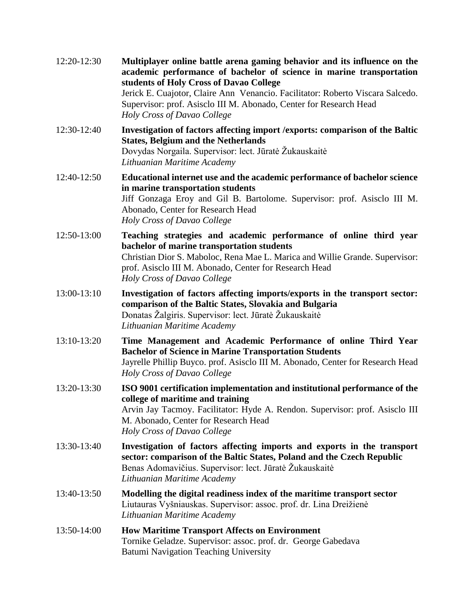| 12:20-12:30 | Multiplayer online battle arena gaming behavior and its influence on the<br>academic performance of bachelor of science in marine transportation<br>students of Holy Cross of Davao College<br>Jerick E. Cuajotor, Claire Ann Venancio. Facilitator: Roberto Viscara Salcedo.<br>Supervisor: prof. Asisclo III M. Abonado, Center for Research Head<br>Holy Cross of Davao College |
|-------------|------------------------------------------------------------------------------------------------------------------------------------------------------------------------------------------------------------------------------------------------------------------------------------------------------------------------------------------------------------------------------------|
| 12:30-12:40 | Investigation of factors affecting import / exports: comparison of the Baltic<br><b>States, Belgium and the Netherlands</b><br>Dovydas Norgaila. Supervisor: lect. Jūratė Žukauskaitė<br>Lithuanian Maritime Academy                                                                                                                                                               |
| 12:40-12:50 | Educational internet use and the academic performance of bachelor science<br>in marine transportation students<br>Jiff Gonzaga Eroy and Gil B. Bartolome. Supervisor: prof. Asisclo III M.<br>Abonado, Center for Research Head<br>Holy Cross of Davao College                                                                                                                     |
| 12:50-13:00 | Teaching strategies and academic performance of online third year<br>bachelor of marine transportation students<br>Christian Dior S. Maboloc, Rena Mae L. Marica and Willie Grande. Supervisor:<br>prof. Asisclo III M. Abonado, Center for Research Head<br>Holy Cross of Davao College                                                                                           |
| 13:00-13:10 | Investigation of factors affecting imports/exports in the transport sector:<br>comparison of the Baltic States, Slovakia and Bulgaria<br>Donatas Žalgiris. Supervisor: lect. Jūratė Žukauskaitė<br>Lithuanian Maritime Academy                                                                                                                                                     |
| 13:10-13:20 | Time Management and Academic Performance of online Third Year<br><b>Bachelor of Science in Marine Transportation Students</b><br>Jayrelle Phillip Buyco. prof. Asisclo III M. Abonado, Center for Research Head<br>Holy Cross of Davao College                                                                                                                                     |
| 13:20-13:30 | ISO 9001 certification implementation and institutional performance of the<br>college of maritime and training<br>Arvin Jay Tacmoy. Facilitator: Hyde A. Rendon. Supervisor: prof. Asisclo III<br>M. Abonado, Center for Research Head<br>Holy Cross of Davao College                                                                                                              |
| 13:30-13:40 | Investigation of factors affecting imports and exports in the transport<br>sector: comparison of the Baltic States, Poland and the Czech Republic<br>Benas Adomavičius. Supervisor: lect. Jūratė Žukauskaitė<br>Lithuanian Maritime Academy                                                                                                                                        |
| 13:40-13:50 | Modelling the digital readiness index of the maritime transport sector<br>Liutauras Vyšniauskas. Supervisor: assoc. prof. dr. Lina Dreižienė<br>Lithuanian Maritime Academy                                                                                                                                                                                                        |
| 13:50-14:00 | <b>How Maritime Transport Affects on Environment</b><br>Tornike Geladze. Supervisor: assoc. prof. dr. George Gabedava<br>Batumi Navigation Teaching University                                                                                                                                                                                                                     |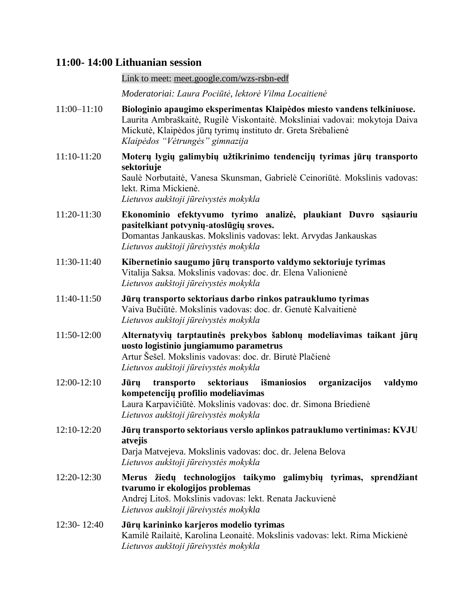#### **11:00- 14:00 Lithuanian session**

#### Link to meet: [meet.google.com/wzs-rsbn-edf](http://meet.google.com/wzs-rsbn-edf)

*Moderatoriai: Laura Pociūtė, lektorė Vilma Locaitienė*

- 11:00–11:10 **Biologinio apaugimo eksperimentas Klaipėdos miesto vandens telkiniuose.** Laurita Ambraškaitė, Rugilė Viskontaitė. Moksliniai vadovai: mokytoja Daiva Mickutė, Klaipėdos jūrų tyrimų instituto dr. Greta Srėbalienė *Klaipėdos "Vėtrungės" gimnazija*
- 11:10-11:20 **Moterų lygių galimybių užtikrinimo tendencijų tyrimas jūrų transporto sektoriuje** Saulė Norbutaitė, Vanesa Skunsman, Gabrielė Ceinoriūtė. Mokslinis vadovas: lekt. Rima Mickienė.

*Lietuvos aukštoji jūreivystės mokykla*

- 11:20-11:30 **Ekonominio efektyvumo tyrimo analizė, plaukiant Duvro sąsiauriu pasitelkiant potvynių-atoslūgių sroves.** Domantas Jankauskas. Mokslinis vadovas: lekt. Arvydas Jankauskas *Lietuvos aukštoji jūreivystės mokykla*
- 11:30-11:40 **Kibernetinio saugumo jūrų transporto valdymo sektoriuje tyrimas** Vitalija Saksa. Mokslinis vadovas: doc. dr. Elena Valionienė *Lietuvos aukštoji jūreivystės mokykla*
- 11:40-11:50 **Jūrų transporto sektoriaus darbo rinkos patrauklumo tyrimas** Vaiva Bučiūtė. Mokslinis vadovas: doc. dr. Genutė Kalvaitienė *Lietuvos aukštoji jūreivystės mokykla*
- 11:50-12:00 **Alternatyvių tarptautinės prekybos šablonų modeliavimas taikant jūrų uosto logistinio jungiamumo parametrus** Artur Šešel. Mokslinis vadovas: doc. dr. Birutė Plačienė

*Lietuvos aukštoji jūreivystės mokykla*

- 12:00-12:10 **Jūrų transporto sektoriaus išmaniosios organizacijos valdymo kompetencijų profilio modeliavimas** Laura Karpavičiūtė. Mokslinis vadovas: doc. dr. Simona Briedienė *Lietuvos aukštoji jūreivystės mokykla*
- 12:10-12:20 **Jūrų transporto sektoriaus verslo aplinkos patrauklumo vertinimas: KVJU atvejis** Darja Matvejeva. Mokslinis vadovas: doc. dr. Jelena Belova

*Lietuvos aukštoji jūreivystės mokykla*

- 12:20-12:30 **Merus žiedų technologijos taikymo galimybių tyrimas, sprendžiant tvarumo ir ekologijos problemas** Andrej Litoš. Mokslinis vadovas: lekt. Renata Jackuvienė *Lietuvos aukštoji jūreivystės mokykla*
- 12:30- 12:40 **Jūrų karininko karjeros modelio tyrimas** Kamilė Railaitė, Karolina Leonaitė. Mokslinis vadovas: lekt. Rima Mickienė *Lietuvos aukštoji jūreivystės mokykla*